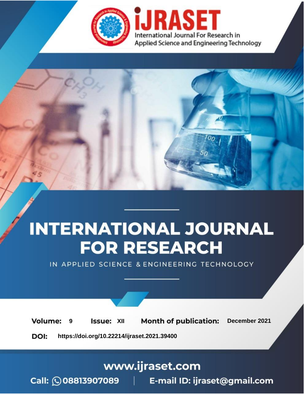



IN APPLIED SCIENCE & ENGINEERING TECHNOLOGY

**9 Issue:** XII **Month of publication:** December 2021 **Volume: https://doi.org/10.22214/ijraset.2021.39400**DOI:

www.ijraset.com

Call: 008813907089 | E-mail ID: ijraset@gmail.com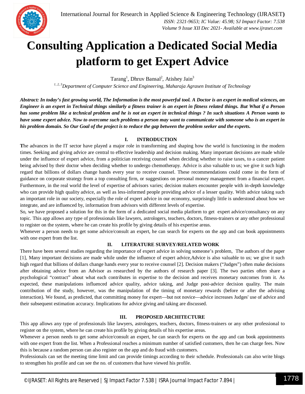

# **Consulting Application a Dedicated Social Media platform to get Expert Advice**

Tarang<sup>1</sup>, Dhruv Bansal<sup>2</sup>, Atishey Jain<sup>3</sup>

*1, 2, 3Department of Computer Science and Engineering, Maharaja Agrasen Institute of Technology*

*Abstract: In today's fast growing world, The Information is the most powerful tool. A Doctor is an expert in medical sciences, an Engineer is an expert in Technical things similarly a fitness trainer is an expert in fitness related things. But What if a Person has some problem like a technical problem and he is not an expert in technical things ? In such situations A Person wants to have some expert advice. Now to overcome such problems a person may want to communicate with someone who is an expert in his problem domain. So Our Goal of the project is to reduce the gap between the problem seeker and the experts.*

# **I. INTRODUCTION**

**T**he advances in the IT sector have played a major role in transforming and shaping how the world is functioning in the modern times. Seeking and giving advice are central to effective leadership and decision making. Many important decisions are made while under the influence of expert advice, from a politician receiving counsel when deciding whether to raise taxes, to a cancer patient being advised by their doctor when deciding whether to undergo chemotherapy. Advice is also valuable to us; we give it such high regard that billions of dollars change hands every year to receive counsel. These recommendations could come in the form of guidance on corporate strategy from a top consulting firm, or suggestions on personal money management from a financial expert. Furthermore, in the real world the level of expertise of advisors varies; decision makers encounter people with in-depth knowledge who can provide high quality advice, as well as less-informed people providing advice of a lesser quality. With advice taking such an important role in our society, especially the role of expert advice in our economy, surprisingly little is understood about how we integrate, and are influenced by, information from advisors with different levels of expertise.

So, we have proposed a solution for this in the form of a dedicated social media platform to get expert advice/consultancy on any topic. This app allows any type of professionals like lawyers, astrologers, teachers, doctors, fitness-trainers or any other professional to register on the system, where he can create his profile by giving details of his expertise areas.

Whenever a person needs to get some advice/consult an expert, he can search for experts on the app and can book appointments with one expert from the list.

# **II. LITERATURE SURVEY/RELATED WORK**

There have been several studies regarding the importance of expert advice in solving someone's problem, The authors of the paper [1], Many important decisions are made while under the influence of expert advice,Advice is also valuable to us; we give it such high regard that billions of dollars change hands every year to receive counsel [2]. Decision makers ("Judges") often make decisions after obtaining advice from an Advisor as researched by the authors of research paper [3]. The two parties often share a psychological "contract" about what each contributes in expertise to the decision and receives monetary outcomes from it. As expected, these manipulations influenced advice quality, advice taking, and Judge post-advice decision quality. The main contribution of the study, however, was the manipulation of the timing of monetary rewards (before or after the advising interaction). We found, as predicted, that committing money for expert—but not novice—advice increases Judges' use of advice and their subsequent estimation accuracy. Implications for advice giving and taking are discussed.

# **III. PROPOSED ARCHITECTURE**

This app allows any type of professionals like lawyers, astrologers, teachers, doctors, fitness-trainers or any other professional to register on the system, where he can create his profile by giving details of his expertise areas.

Whenever a person needs to get some advice/consult an expert, he can search for experts on the app and can book appointments with one expert from the list. When a Professional reaches a minimum number of satisfied customers, then he can charge fees. Now this is because a random person can also register on the app and do fraud with customers.

Professionals can set the meeting time limit and can provide timings according to their schedule. Professionals can also write blogs to strengthen his profile and can see the no. of customers that have viewed his profile.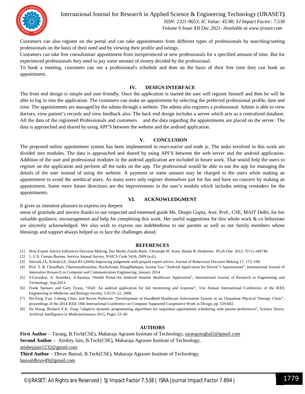

International Journal for Research in Applied Science & Engineering Technology (IJRASET**)**

 *ISSN: 2321-9653; IC Value: 45.98; SJ Impact Factor: 7.538 Volume 9 Issue XII Dec 2021- Available at www.ijraset.com*

Customers can also register on the portal and can take appointments from different types of professionals by searching/sorting professionals on the basis of their need and by viewing their profile and ratings.

Customers can take free consultation/ appointment from inexperienced or new professionals for a specified amount of time. But for experienced professionals they need to pay some amount of money decided by the professional.

To book a meeting, customers can see a professional's schedule and then on the basis of their free time they can book an appointment.

#### **IV. DESIGN INTERFACE**

The front end design is simple and user-friendly. Once the application is started the user will register himself and then he will be able to log in into the application. The customers can make an appointment by selecting the preferred professional profile, date and time. The appointments are managed by the admin through a website. The admin also registers a professional. Admin is able to view doctors, view patient's records and view feedback also. The back end design includes a server which acts as a centralized database. All the data of the registered Professionals and customers and the data regarding the appointments are placed on the server. The data is approached and shared by using API'S between the website and the android application.

#### **V. CONCLUSION**

The proposed online appointment system has been implemented in react-native and node js. The tasks involved in this work are divided into modules. The data is approached and shared by using API'S between the web server and the android application. Addition of the user and professional modules in the android application are included in future work. That would help the users to register on the application and perform all the tasks on the app. The professional would be able to use the app for managing the details of the user instead of using the website. A payment or some amount may be charged to the users while making an appointment to avoid the unethical users. As many users only register themselves just for fun and have no concern by making an appointment. Some more future directions are the improvements in the user's module which includes setting reminders for the appointments.

#### **VI. ACKNOWLEDGMENT**

It gives us immense pleasure to express my deepest

sense of gratitude and sincere thanks to our respected and esteemed guide Ms. Deepti Gupta, Asst. Prof., CSE, MAIT Delhi, for her valuable guidance, encouragement and help for completing this work. Her useful suggestions for this whole work & co behaviour are sincerely acknowledged. We also wish to express our indebtedness to our parents as well as our family members whose blessings and support always helped us to face the challenges ahead.

#### **REFERENCES**

- [1] How Expert Advice Influences Decision Making, Dar Meshi ,Guido Biele, Christoph W. Korn, Hauke R. Heekeren, PLoS One. 2012; 7(11): e49748.
- [2] 1. U.S. Census Bureau, Service Annual Survey, NAICS Code 5416, 2009 (n.d.).
- [3] Sniezek JA, Schrah GE, Dalal RS (2004) Improving judgement with prepaid expert advice. Journal of Behavioral Decision Making 17: 173–190.
- [4] Prof. S. B. Choudhari, ChaitanyaKusurkar, RuchaSonje, ParagMahajan, Joanna Vaz "Android Application for Doctor"s Appointment", International Journal of Innovative Research in Computer and Communication Engineering, January 2014
- [5] S.Gavaskar, A. Sumithra, A.Saranya "Health Portal-An Android Smarter Healthcare Application", International Journal of Research in Engineering and Technology, Sep-2013.
- [6] Frank Sposaro and Gary Tyson, "iFall: An android application for fall monitoring and response", 31st Annual International Conference of the IEEE Engineering in Medicine and Biology Society, 1:6119–22, 2009.
- [7] Pei-Fang Tsai, I-sheng Chen, and Keven Pothoven "Development of Handheld Healthcare Information System in an Outpatient Physical Therapy Clinic", proceedings of the 2014 IEEE 18th International Conference on Computer Supported Cooperative Work in Design, pp. 559-602.
- [8] Jin Wang, Richard Y.K. Fung "adaptive dynamic programming algorithms for sequential appointment scheduling with patient preferences", Science Direct, Artificial Intelligence in MedicineJanuary 2015, Pages 33–40

#### **AUTHORS**

**First Author** – Tarang, B.Tech(CSE), Maharaja Agrasen Institute of Technology, tarangsinghal2@gmail.com **Second Author** – Atishey Jain, B.Tech(CSE), Maharaja Agrasen Institute of Technology, atisheyjain1232@gmail.com

**Third Author** – Dhruv Bansal, B.Tech(CSE), Maharaja Agrasen Institute of Technology, bansaldhruv49@gmail.com